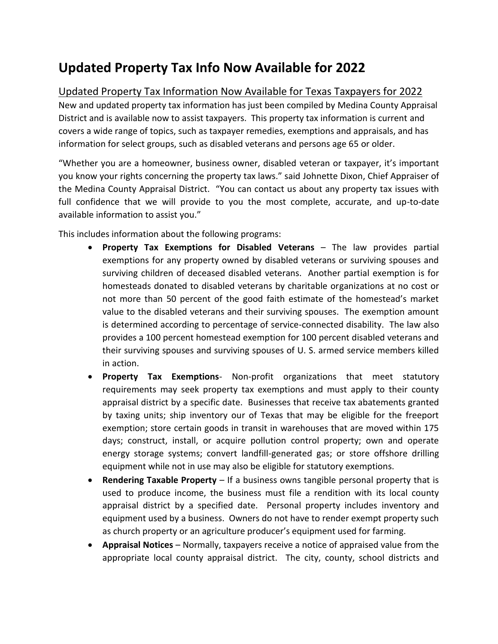## **Updated Property Tax Info Now Available for 2022**

## Updated Property Tax Information Now Available for Texas Taxpayers for 2022

New and updated property tax information has just been compiled by Medina County Appraisal District and is available now to assist taxpayers. This property tax information is current and covers a wide range of topics, such as taxpayer remedies, exemptions and appraisals, and has information for select groups, such as disabled veterans and persons age 65 or older.

"Whether you are a homeowner, business owner, disabled veteran or taxpayer, it's important you know your rights concerning the property tax laws." said Johnette Dixon, Chief Appraiser of the Medina County Appraisal District. "You can contact us about any property tax issues with full confidence that we will provide to you the most complete, accurate, and up-to-date available information to assist you."

This includes information about the following programs:

- **Property Tax Exemptions for Disabled Veterans** The law provides partial exemptions for any property owned by disabled veterans or surviving spouses and surviving children of deceased disabled veterans. Another partial exemption is for homesteads donated to disabled veterans by charitable organizations at no cost or not more than 50 percent of the good faith estimate of the homestead's market value to the disabled veterans and their surviving spouses. The exemption amount is determined according to percentage of service-connected disability. The law also provides a 100 percent homestead exemption for 100 percent disabled veterans and their surviving spouses and surviving spouses of U. S. armed service members killed in action.
- **Property Tax Exemptions** Non-profit organizations that meet statutory requirements may seek property tax exemptions and must apply to their county appraisal district by a specific date. Businesses that receive tax abatements granted by taxing units; ship inventory our of Texas that may be eligible for the freeport exemption; store certain goods in transit in warehouses that are moved within 175 days; construct, install, or acquire pollution control property; own and operate energy storage systems; convert landfill-generated gas; or store offshore drilling equipment while not in use may also be eligible for statutory exemptions.
- **Rendering Taxable Property** If a business owns tangible personal property that is used to produce income, the business must file a rendition with its local county appraisal district by a specified date. Personal property includes inventory and equipment used by a business. Owners do not have to render exempt property such as church property or an agriculture producer's equipment used for farming.
- **Appraisal Notices** Normally, taxpayers receive a notice of appraised value from the appropriate local county appraisal district. The city, county, school districts and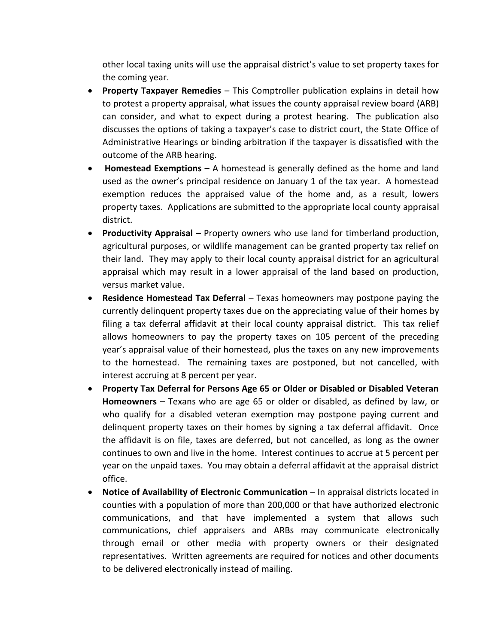other local taxing units will use the appraisal district's value to set property taxes for the coming year.

- **Property Taxpayer Remedies** This Comptroller publication explains in detail how to protest a property appraisal, what issues the county appraisal review board (ARB) can consider, and what to expect during a protest hearing. The publication also discusses the options of taking a taxpayer's case to district court, the State Office of Administrative Hearings or binding arbitration if the taxpayer is dissatisfied with the outcome of the ARB hearing.
- **Homestead Exemptions** A homestead is generally defined as the home and land used as the owner's principal residence on January 1 of the tax year. A homestead exemption reduces the appraised value of the home and, as a result, lowers property taxes. Applications are submitted to the appropriate local county appraisal district.
- **Productivity Appraisal –** Property owners who use land for timberland production, agricultural purposes, or wildlife management can be granted property tax relief on their land. They may apply to their local county appraisal district for an agricultural appraisal which may result in a lower appraisal of the land based on production, versus market value.
- **Residence Homestead Tax Deferral**  Texas homeowners may postpone paying the currently delinquent property taxes due on the appreciating value of their homes by filing a tax deferral affidavit at their local county appraisal district. This tax relief allows homeowners to pay the property taxes on 105 percent of the preceding year's appraisal value of their homestead, plus the taxes on any new improvements to the homestead. The remaining taxes are postponed, but not cancelled, with interest accruing at 8 percent per year.
- **Property Tax Deferral for Persons Age 65 or Older or Disabled or Disabled Veteran Homeowners** – Texans who are age 65 or older or disabled, as defined by law, or who qualify for a disabled veteran exemption may postpone paying current and delinquent property taxes on their homes by signing a tax deferral affidavit. Once the affidavit is on file, taxes are deferred, but not cancelled, as long as the owner continues to own and live in the home. Interest continues to accrue at 5 percent per year on the unpaid taxes. You may obtain a deferral affidavit at the appraisal district office.
- **Notice of Availability of Electronic Communication** In appraisal districts located in counties with a population of more than 200,000 or that have authorized electronic communications, and that have implemented a system that allows such communications, chief appraisers and ARBs may communicate electronically through email or other media with property owners or their designated representatives. Written agreements are required for notices and other documents to be delivered electronically instead of mailing.